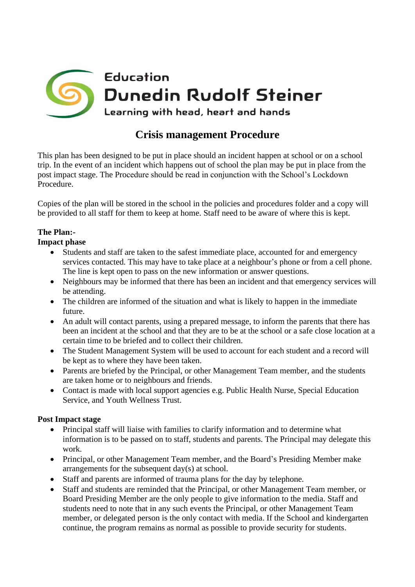

## **Crisis management Procedure**

This plan has been designed to be put in place should an incident happen at school or on a school trip. In the event of an incident which happens out of school the plan may be put in place from the post impact stage. The Procedure should be read in conjunction with the School's Lockdown Procedure.

Copies of the plan will be stored in the school in the policies and procedures folder and a copy will be provided to all staff for them to keep at home. Staff need to be aware of where this is kept.

## **The Plan:-**

**Impact phase** 

- Students and staff are taken to the safest immediate place, accounted for and emergency services contacted. This may have to take place at a neighbour's phone or from a cell phone. The line is kept open to pass on the new information or answer questions.
- Neighbours may be informed that there has been an incident and that emergency services will be attending.
- The children are informed of the situation and what is likely to happen in the immediate future.
- An adult will contact parents, using a prepared message, to inform the parents that there has been an incident at the school and that they are to be at the school or a safe close location at a certain time to be briefed and to collect their children.
- The Student Management System will be used to account for each student and a record will be kept as to where they have been taken.
- Parents are briefed by the Principal, or other Management Team member, and the students are taken home or to neighbours and friends.
- Contact is made with local support agencies e.g. Public Health Nurse, Special Education Service, and Youth Wellness Trust.

## **Post Impact stage**

- Principal staff will liaise with families to clarify information and to determine what information is to be passed on to staff, students and parents. The Principal may delegate this work.
- Principal, or other Management Team member, and the Board's Presiding Member make arrangements for the subsequent day(s) at school.
- Staff and parents are informed of trauma plans for the day by telephone.
- Staff and students are reminded that the Principal, or other Management Team member, or Board Presiding Member are the only people to give information to the media. Staff and students need to note that in any such events the Principal, or other Management Team member, or delegated person is the only contact with media. If the School and kindergarten continue, the program remains as normal as possible to provide security for students.